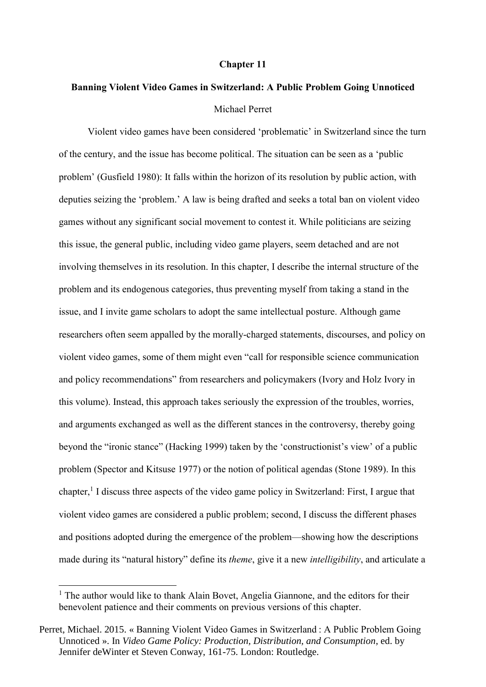#### **Chapter 11**

## **Banning Violent Video Games in Switzerland: A Public Problem Going Unnoticed** Michael Perret

Violent video games have been considered 'problematic' in Switzerland since the turn of the century, and the issue has become political. The situation can be seen as a 'public problem' (Gusfield 1980): It falls within the horizon of its resolution by public action, with deputies seizing the 'problem.' A law is being drafted and seeks a total ban on violent video games without any significant social movement to contest it. While politicians are seizing this issue, the general public, including video game players, seem detached and are not involving themselves in its resolution. In this chapter, I describe the internal structure of the problem and its endogenous categories, thus preventing myself from taking a stand in the issue, and I invite game scholars to adopt the same intellectual posture. Although game researchers often seem appalled by the morally-charged statements, discourses, and policy on violent video games, some of them might even "call for responsible science communication and policy recommendations" from researchers and policymakers (Ivory and Holz Ivory in this volume). Instead, this approach takes seriously the expression of the troubles, worries, and arguments exchanged as well as the different stances in the controversy, thereby going beyond the "ironic stance" (Hacking 1999) taken by the 'constructionist's view' of a public problem (Spector and Kitsuse 1977) or the notion of political agendas (Stone 1989). In this chapter, 1 I discuss three aspects of the video game policy in Switzerland: First, I argue that violent video games are considered a public problem; second, I discuss the different phases and positions adopted during the emergence of the problem—showing how the descriptions made during its "natural history" define its *theme*, give it a new *intelligibility*, and articulate a

<sup>&</sup>lt;sup>1</sup> The author would like to thank Alain Bovet, Angelia Giannone, and the editors for their benevolent patience and their comments on previous versions of this chapter.

Perret, Michael. 2015. « Banning Violent Video Games in Switzerland : A Public Problem Going Unnoticed ». In *Video Game Policy: Production, Distribution, and Consumption*, ed. by Jennifer deWinter et Steven Conway, 161-75. London: Routledge.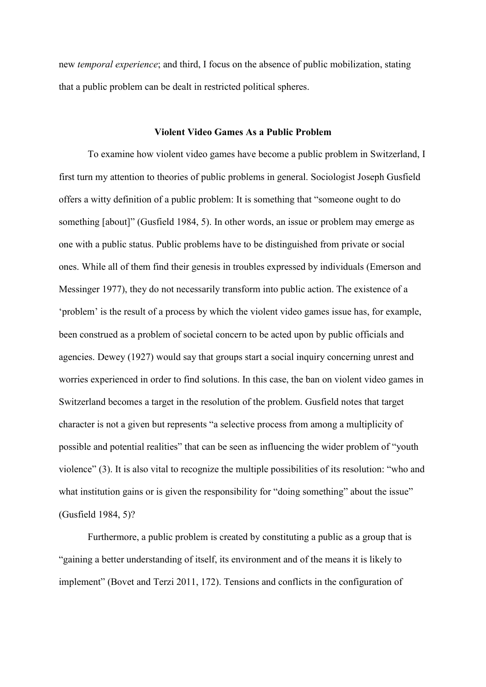new *temporal experience*; and third, I focus on the absence of public mobilization, stating that a public problem can be dealt in restricted political spheres.

## **Violent Video Games As a Public Problem**

To examine how violent video games have become a public problem in Switzerland, I first turn my attention to theories of public problems in general. Sociologist Joseph Gusfield offers a witty definition of a public problem: It is something that "someone ought to do something [about]" (Gusfield 1984, 5). In other words, an issue or problem may emerge as one with a public status. Public problems have to be distinguished from private or social ones. While all of them find their genesis in troubles expressed by individuals (Emerson and Messinger 1977), they do not necessarily transform into public action. The existence of a 'problem' is the result of a process by which the violent video games issue has, for example, been construed as a problem of societal concern to be acted upon by public officials and agencies. Dewey (1927) would say that groups start a social inquiry concerning unrest and worries experienced in order to find solutions. In this case, the ban on violent video games in Switzerland becomes a target in the resolution of the problem. Gusfield notes that target character is not a given but represents "a selective process from among a multiplicity of possible and potential realities" that can be seen as influencing the wider problem of "youth violence" (3). It is also vital to recognize the multiple possibilities of its resolution: "who and what institution gains or is given the responsibility for "doing something" about the issue" (Gusfield 1984, 5)?

Furthermore, a public problem is created by constituting a public as a group that is "gaining a better understanding of itself, its environment and of the means it is likely to implement" (Bovet and Terzi 2011, 172). Tensions and conflicts in the configuration of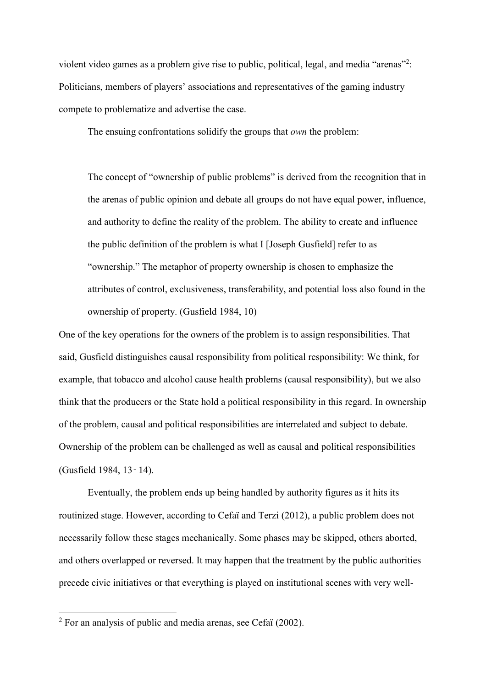violent video games as a problem give rise to public, political, legal, and media "arenas"<sup>2</sup>: Politicians, members of players' associations and representatives of the gaming industry compete to problematize and advertise the case.

The ensuing confrontations solidify the groups that *own* the problem:

The concept of "ownership of public problems" is derived from the recognition that in the arenas of public opinion and debate all groups do not have equal power, influence, and authority to define the reality of the problem. The ability to create and influence the public definition of the problem is what I [Joseph Gusfield] refer to as "ownership." The metaphor of property ownership is chosen to emphasize the attributes of control, exclusiveness, transferability, and potential loss also found in the ownership of property. (Gusfield 1984, 10)

One of the key operations for the owners of the problem is to assign responsibilities. That said, Gusfield distinguishes causal responsibility from political responsibility: We think, for example, that tobacco and alcohol cause health problems (causal responsibility), but we also think that the producers or the State hold a political responsibility in this regard. In ownership of the problem, causal and political responsibilities are interrelated and subject to debate. Ownership of the problem can be challenged as well as causal and political responsibilities (Gusfield 1984, 13‑14).

Eventually, the problem ends up being handled by authority figures as it hits its routinized stage. However, according to Cefaï and Terzi (2012), a public problem does not necessarily follow these stages mechanically. Some phases may be skipped, others aborted, and others overlapped or reversed. It may happen that the treatment by the public authorities precede civic initiatives or that everything is played on institutional scenes with very well-

 $2^2$  For an analysis of public and media arenas, see Cefaï (2002).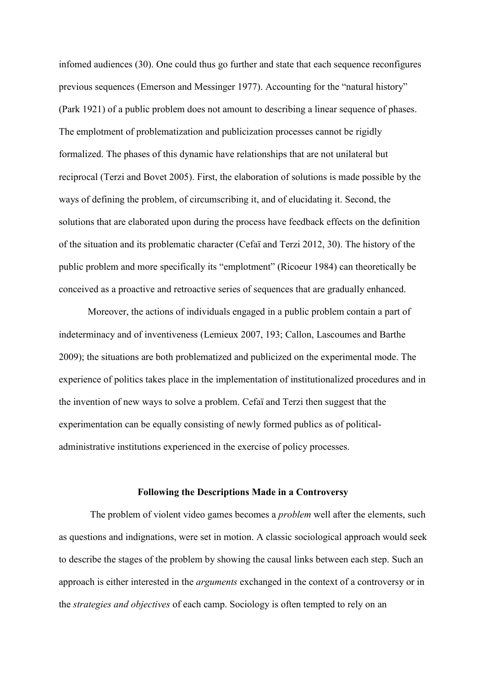infomed audiences (30). One could thus go further and state that each sequence reconfigures previous sequences (Emerson and Messinger 1977). Accounting for the "natural history" (Park 1921) of a public problem does not amount to describing a linear sequence of phases. The emplotment of problematization and publicization processes cannot be rigidly formalized. The phases of this dynamic have relationships that are not unilateral but reciprocal (Terzi and Bovet 2005). First, the elaboration of solutions is made possible by the ways of defining the problem, of circumscribing it, and of elucidating it. Second, the solutions that are elaborated upon during the process have feedback effects on the definition of the situation and its problematic character (Cefaï and Terzi 2012, 30). The history of the public problem and more specifically its "emplotment" (Ricoeur 1984) can theoretically be conceived as a proactive and retroactive series of sequences that are gradually enhanced.

Moreover, the actions of individuals engaged in a public problem contain a part of indeterminacy and of inventiveness (Lemieux 2007, 193; Callon, Lascoumes and Barthe 2009); the situations are both problematized and publicized on the experimental mode. The experience of politics takes place in the implementation of institutionalized procedures and in the invention of new ways to solve a problem. Cefaï and Terzi then suggest that the experimentation can be equally consisting of newly formed publics as of politicaladministrative institutions experienced in the exercise of policy processes.

#### **Following the Descriptions Made in a Controversy**

The problem of violent video games becomes a *problem* well after the elements, such as questions and indignations, were set in motion. A classic sociological approach would seek to describe the stages of the problem by showing the causal links between each step. Such an approach is either interested in the *arguments* exchanged in the context of a controversy or in the *strategies and objectives* of each camp. Sociology is often tempted to rely on an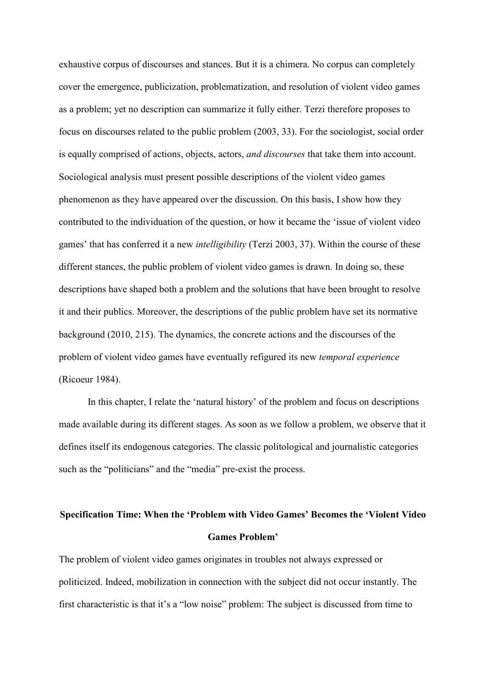exhaustive corpus of discourses and stances. But it is a chimera. No corpus can completely cover the emergence, publicization, problematization, and resolution of violent video games as a problem; yet no description can summarize it fully either. Terzi therefore proposes to focus on discourses related to the public problem (2003, 33). For the sociologist, social order is equally comprised of actions, objects, actors, *and discourses* that take them into account. Sociological analysis must present possible descriptions of the violent video games phenomenon as they have appeared over the discussion. On this basis, I show how they contributed to the individuation of the question, or how it became the 'issue of violent video games' that has conferred it a new *intelligibility* (Terzi 2003, 37). Within the course of these different stances, the public problem of violent video games is drawn. In doing so, these descriptions have shaped both a problem and the solutions that have been brought to resolve it and their publics. Moreover, the descriptions of the public problem have set its normative background (2010, 215). The dynamics, the concrete actions and the discourses of the problem of violent video games have eventually refigured its new *temporal experience* (Ricoeur 1984).

In this chapter, I relate the 'natural history' of the problem and focus on descriptions made available during its different stages. As soon as we follow a problem, we observe that it defines itself its endogenous categories. The classic politological and journalistic categories such as the "politicians" and the "media" pre-exist the process.

# **Specification Time: When the 'Problem with Video Games' Becomes the 'Violent Video Games Problem'**

The problem of violent video games originates in troubles not always expressed or politicized. Indeed, mobilization in connection with the subject did not occur instantly. The first characteristic is that it's a "low noise" problem: The subject is discussed from time to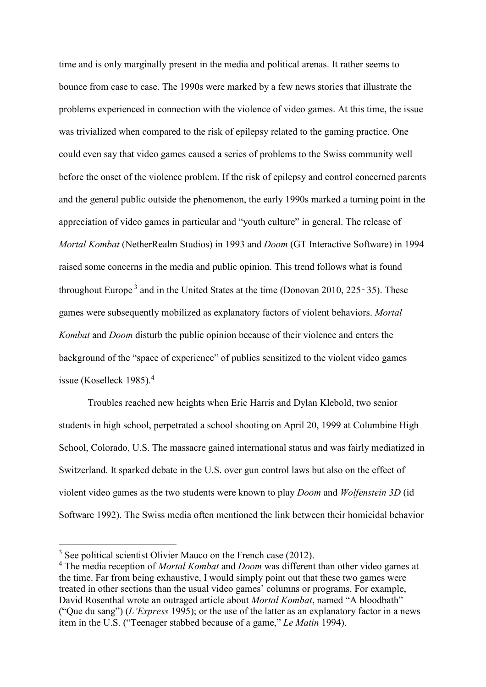time and is only marginally present in the media and political arenas. It rather seems to bounce from case to case. The 1990s were marked by a few news stories that illustrate the problems experienced in connection with the violence of video games. At this time, the issue was trivialized when compared to the risk of epilepsy related to the gaming practice. One could even say that video games caused a series of problems to the Swiss community well before the onset of the violence problem. If the risk of epilepsy and control concerned parents and the general public outside the phenomenon, the early 1990s marked a turning point in the appreciation of video games in particular and "youth culture" in general. The release of *Mortal Kombat* (NetherRealm Studios) in 1993 and *Doom* (GT Interactive Software) in 1994 raised some concerns in the media and public opinion. This trend follows what is found throughout Europe<sup>3</sup> and in the United States at the time (Donovan 2010, 225 $-35$ ). These games were subsequently mobilized as explanatory factors of violent behaviors. *Mortal Kombat* and *Doom* disturb the public opinion because of their violence and enters the background of the "space of experience" of publics sensitized to the violent video games issue (Koselleck 1985). 4

Troubles reached new heights when Eric Harris and Dylan Klebold, two senior students in high school, perpetrated a school shooting on April 20, 1999 at Columbine High School, Colorado, U.S. The massacre gained international status and was fairly mediatized in Switzerland. It sparked debate in the U.S. over gun control laws but also on the effect of violent video games as the two students were known to play *Doom* and *Wolfenstein 3D* (id Software 1992). The Swiss media often mentioned the link between their homicidal behavior

<sup>&</sup>lt;sup>3</sup> See political scientist Olivier Mauco on the French case (2012).

<sup>4</sup> The media reception of *Mortal Kombat* and *Doom* was different than other video games at the time. Far from being exhaustive, I would simply point out that these two games were treated in other sections than the usual video games' columns or programs. For example, David Rosenthal wrote an outraged article about *Mortal Kombat*, named "A bloodbath" ("Que du sang") (*L'Express* 1995); or the use of the latter as an explanatory factor in a news item in the U.S. ("Teenager stabbed because of a game," *Le Matin* 1994).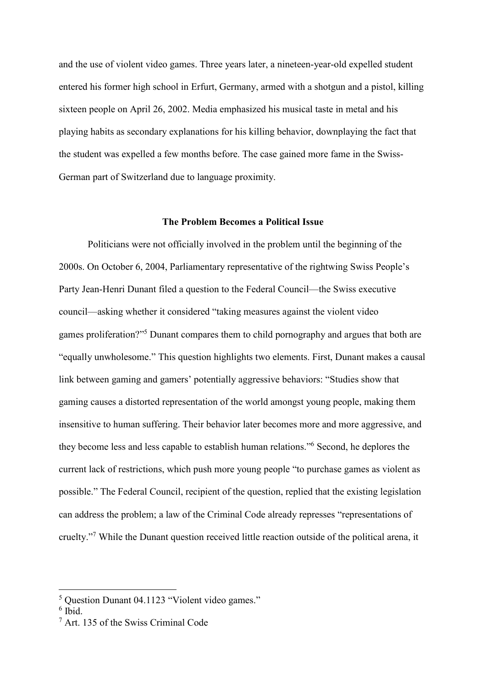and the use of violent video games. Three years later, a nineteen-year-old expelled student entered his former high school in Erfurt, Germany, armed with a shotgun and a pistol, killing sixteen people on April 26, 2002. Media emphasized his musical taste in metal and his playing habits as secondary explanations for his killing behavior, downplaying the fact that the student was expelled a few months before. The case gained more fame in the Swiss-German part of Switzerland due to language proximity.

#### **The Problem Becomes a Political Issue**

Politicians were not officially involved in the problem until the beginning of the 2000s. On October 6, 2004, Parliamentary representative of the rightwing Swiss People's Party Jean-Henri Dunant filed a question to the Federal Council—the Swiss executive council—asking whether it considered "taking measures against the violent video games proliferation?" <sup>5</sup> Dunant compares them to child pornography and argues that both are "equally unwholesome." This question highlights two elements. First, Dunant makes a causal link between gaming and gamers' potentially aggressive behaviors: "Studies show that gaming causes a distorted representation of the world amongst young people, making them insensitive to human suffering. Their behavior later becomes more and more aggressive, and they become less and less capable to establish human relations." <sup>6</sup> Second, he deplores the current lack of restrictions, which push more young people "to purchase games as violent as possible." The Federal Council, recipient of the question, replied that the existing legislation can address the problem; a law of the Criminal Code already represses "representations of cruelty."<sup>7</sup> While the Dunant question received little reaction outside of the political arena, it

<sup>&</sup>lt;sup>5</sup> Question Dunant 04.1123 "Violent video games."

<sup>6</sup> Ibid.

<sup>7</sup> Art. 135 of the Swiss Criminal Code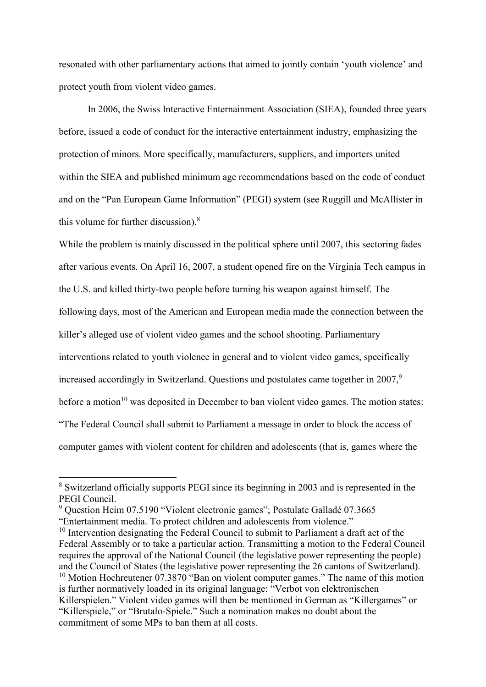resonated with other parliamentary actions that aimed to jointly contain 'youth violence' and protect youth from violent video games.

In 2006, the Swiss Interactive Enternainment Association (SIEA), founded three years before, issued a code of conduct for the interactive entertainment industry, emphasizing the protection of minors. More specifically, manufacturers, suppliers, and importers united within the SIEA and published minimum age recommendations based on the code of conduct and on the "Pan European Game Information" (PEGI) system (see Ruggill and McAllister in this volume for further discussion). 8

While the problem is mainly discussed in the political sphere until 2007, this sectoring fades after various events. On April 16, 2007, a student opened fire on the Virginia Tech campus in the U.S. and killed thirty-two people before turning his weapon against himself. The following days, most of the American and European media made the connection between the killer's alleged use of violent video games and the school shooting. Parliamentary interventions related to youth violence in general and to violent video games, specifically increased accordingly in Switzerland. Questions and postulates came together in 2007, 9 before a motion $10$  was deposited in December to ban violent video games. The motion states: "The Federal Council shall submit to Parliament a message in order to block the access of computer games with violent content for children and adolescents (that is, games where the

<sup>8</sup> Switzerland officially supports PEGI since its beginning in 2003 and is represented in the PEGI Council.

<sup>9</sup> Question Heim 07.5190 "Violent electronic games"; Postulate Galladé 07.3665

<sup>&</sup>quot;Entertainment media. To protect children and adolescents from violence."

<sup>&</sup>lt;sup>10</sup> Intervention designating the Federal Council to submit to Parliament a draft act of the Federal Assembly or to take a particular action. Transmitting a motion to the Federal Council requires the approval of the National Council (the legislative power representing the people) and the Council of States (the legislative power representing the 26 cantons of Switzerland). <sup>10</sup> Motion Hochreutener 07.3870 "Ban on violent computer games." The name of this motion is further normatively loaded in its original language: "Verbot von elektronischen Killerspielen." Violent video games will then be mentioned in German as "Killergames" or "Killerspiele," or "Brutalo-Spiele." Such a nomination makes no doubt about the commitment of some MPs to ban them at all costs.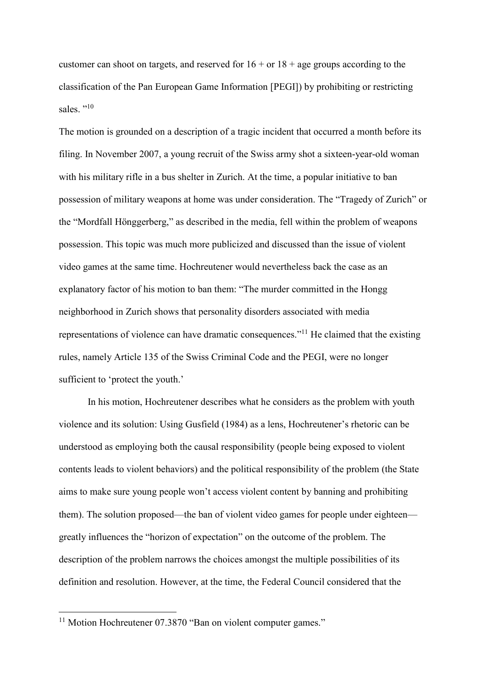customer can shoot on targets, and reserved for  $16 + or 18 + age$  groups according to the classification of the Pan European Game Information [PEGI]) by prohibiting or restricting sales. "<sup>10</sup>

The motion is grounded on a description of a tragic incident that occurred a month before its filing. In November 2007, a young recruit of the Swiss army shot a sixteen-year-old woman with his military rifle in a bus shelter in Zurich. At the time, a popular initiative to ban possession of military weapons at home was under consideration. The "Tragedy of Zurich" or the "Mordfall Hönggerberg," as described in the media, fell within the problem of weapons possession. This topic was much more publicized and discussed than the issue of violent video games at the same time. Hochreutener would nevertheless back the case as an explanatory factor of his motion to ban them: "The murder committed in the Hongg neighborhood in Zurich shows that personality disorders associated with media representations of violence can have dramatic consequences."<sup>11</sup> He claimed that the existing rules, namely Article 135 of the Swiss Criminal Code and the PEGI, were no longer sufficient to 'protect the youth.'

In his motion, Hochreutener describes what he considers as the problem with youth violence and its solution: Using Gusfield (1984) as a lens, Hochreutener's rhetoric can be understood as employing both the causal responsibility (people being exposed to violent contents leads to violent behaviors) and the political responsibility of the problem (the State aims to make sure young people won't access violent content by banning and prohibiting them). The solution proposed—the ban of violent video games for people under eighteen greatly influences the "horizon of expectation" on the outcome of the problem. The description of the problem narrows the choices amongst the multiple possibilities of its definition and resolution. However, at the time, the Federal Council considered that the

<sup>&</sup>lt;sup>11</sup> Motion Hochreutener 07.3870 "Ban on violent computer games."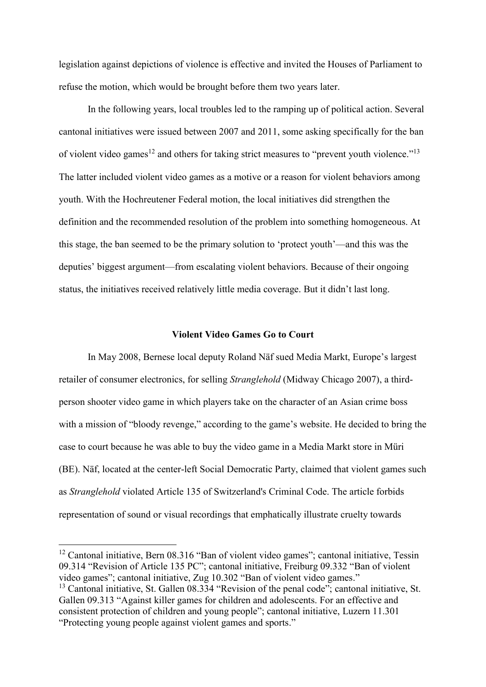legislation against depictions of violence is effective and invited the Houses of Parliament to refuse the motion, which would be brought before them two years later.

In the following years, local troubles led to the ramping up of political action. Several cantonal initiatives were issued between 2007 and 2011, some asking specifically for the ban of violent video games<sup>12</sup> and others for taking strict measures to "prevent youth violence."<sup>13</sup> The latter included violent video games as a motive or a reason for violent behaviors among youth. With the Hochreutener Federal motion, the local initiatives did strengthen the definition and the recommended resolution of the problem into something homogeneous. At this stage, the ban seemed to be the primary solution to 'protect youth'—and this was the deputies' biggest argument—from escalating violent behaviors. Because of their ongoing status, the initiatives received relatively little media coverage. But it didn't last long.

### **Violent Video Games Go to Court**

In May 2008, Bernese local deputy Roland Näf sued Media Markt, Europe's largest retailer of consumer electronics, for selling *Stranglehold* (Midway Chicago 2007), a thirdperson shooter video game in which players take on the character of an Asian crime boss with a mission of "bloody revenge," according to the game's website. He decided to bring the case to court because he was able to buy the video game in a Media Markt store in Müri (BE). Näf, located at the center-left Social Democratic Party, claimed that violent games such as *Stranglehold* violated Article 135 of Switzerland's Criminal Code. The article forbids representation of sound or visual recordings that emphatically illustrate cruelty towards

<sup>&</sup>lt;sup>12</sup> Cantonal initiative, Bern 08.316 "Ban of violent video games"; cantonal initiative, Tessin 09.314 "Revision of Article 135 PC"; cantonal initiative, Freiburg 09.332 "Ban of violent video games"; cantonal initiative, Zug 10.302 "Ban of violent video games."

<sup>&</sup>lt;sup>13</sup> Cantonal initiative, St. Gallen 08.334 "Revision of the penal code"; cantonal initiative, St. Gallen 09.313 "Against killer games for children and adolescents. For an effective and consistent protection of children and young people"; cantonal initiative, Luzern 11.301 "Protecting young people against violent games and sports."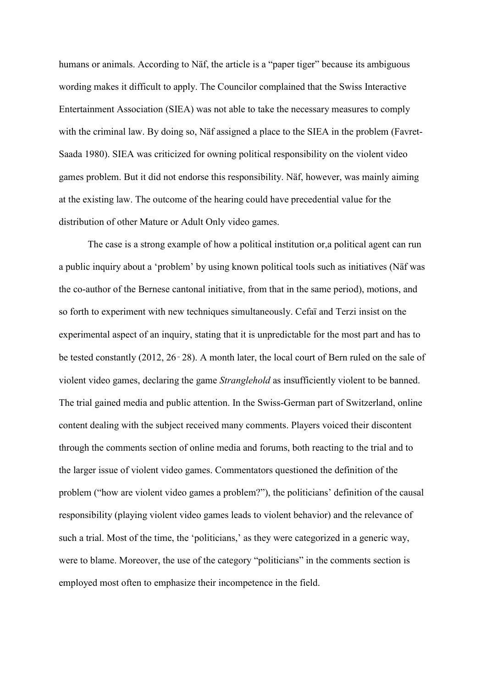humans or animals. According to Näf, the article is a "paper tiger" because its ambiguous wording makes it difficult to apply. The Councilor complained that the Swiss Interactive Entertainment Association (SIEA) was not able to take the necessary measures to comply with the criminal law. By doing so, Näf assigned a place to the SIEA in the problem (Favret-Saada 1980). SIEA was criticized for owning political responsibility on the violent video games problem. But it did not endorse this responsibility. Näf, however, was mainly aiming at the existing law. The outcome of the hearing could have precedential value for the distribution of other Mature or Adult Only video games.

The case is a strong example of how a political institution or,a political agent can run a public inquiry about a 'problem' by using known political tools such as initiatives (Näf was the co-author of the Bernese cantonal initiative, from that in the same period), motions, and so forth to experiment with new techniques simultaneously. Cefaï and Terzi insist on the experimental aspect of an inquiry, stating that it is unpredictable for the most part and has to be tested constantly (2012, 26‑28). A month later, the local court of Bern ruled on the sale of violent video games, declaring the game *Stranglehold* as insufficiently violent to be banned. The trial gained media and public attention. In the Swiss-German part of Switzerland, online content dealing with the subject received many comments. Players voiced their discontent through the comments section of online media and forums, both reacting to the trial and to the larger issue of violent video games. Commentators questioned the definition of the problem ("how are violent video games a problem?"), the politicians' definition of the causal responsibility (playing violent video games leads to violent behavior) and the relevance of such a trial. Most of the time, the 'politicians,' as they were categorized in a generic way, were to blame. Moreover, the use of the category "politicians" in the comments section is employed most often to emphasize their incompetence in the field.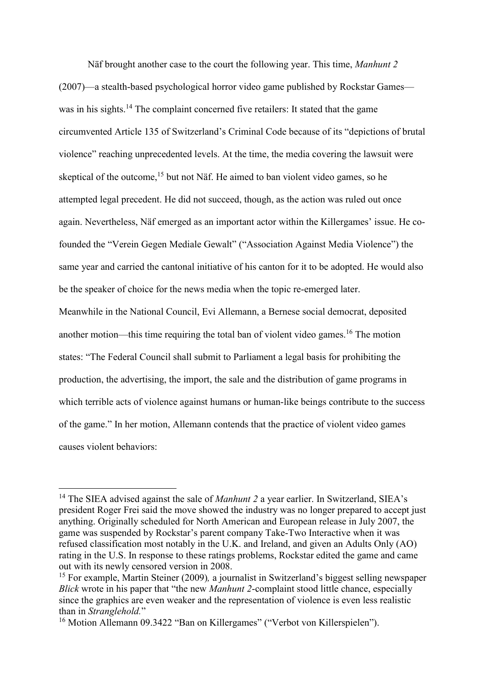Näf brought another case to the court the following year. This time, *Manhunt 2* (2007)—a stealth-based psychological horror video game published by Rockstar Games was in his sights.<sup>14</sup> The complaint concerned five retailers: It stated that the game circumvented Article 135 of Switzerland's Criminal Code because of its "depictions of brutal violence" reaching unprecedented levels. At the time, the media covering the lawsuit were skeptical of the outcome,<sup>15</sup> but not Näf. He aimed to ban violent video games, so he attempted legal precedent. He did not succeed, though, as the action was ruled out once again. Nevertheless, Näf emerged as an important actor within the Killergames' issue. He cofounded the "Verein Gegen Mediale Gewalt" ("Association Against Media Violence") the same year and carried the cantonal initiative of his canton for it to be adopted. He would also be the speaker of choice for the news media when the topic re-emerged later.

Meanwhile in the National Council, Evi Allemann, a Bernese social democrat, deposited another motion—this time requiring the total ban of violent video games. <sup>16</sup> The motion states: "The Federal Council shall submit to Parliament a legal basis for prohibiting the production, the advertising, the import, the sale and the distribution of game programs in which terrible acts of violence against humans or human-like beings contribute to the success of the game." In her motion, Allemann contends that the practice of violent video games causes violent behaviors:

<sup>&</sup>lt;sup>14</sup> The SIEA advised against the sale of *Manhunt 2* a year earlier. In Switzerland, SIEA's president Roger Frei said the move showed the industry was no longer prepared to accept just anything. Originally scheduled for North American and European release in July 2007, the game was suspended by Rockstar's parent company Take-Two Interactive when it was refused classification most notably in the U.K. and Ireland, and given an Adults Only (AO) rating in the U.S. In response to these ratings problems, Rockstar edited the game and came out with its newly censored version in 2008.

<sup>15</sup> For example, Martin Steiner (2009)*,* a journalist in Switzerland's biggest selling newspaper *Blick* wrote in his paper that "the new *Manhunt 2*-complaint stood little chance, especially since the graphics are even weaker and the representation of violence is even less realistic than in *Stranglehold.*"

<sup>&</sup>lt;sup>16</sup> Motion Allemann 09.3422 "Ban on Killergames" ("Verbot von Killerspielen").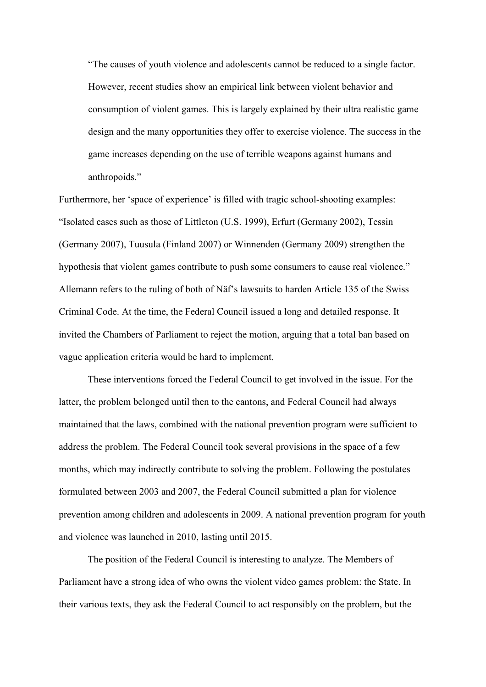"The causes of youth violence and adolescents cannot be reduced to a single factor. However, recent studies show an empirical link between violent behavior and consumption of violent games. This is largely explained by their ultra realistic game design and the many opportunities they offer to exercise violence. The success in the game increases depending on the use of terrible weapons against humans and anthropoids."

Furthermore, her 'space of experience' is filled with tragic school-shooting examples: "Isolated cases such as those of Littleton (U.S. 1999), Erfurt (Germany 2002), Tessin (Germany 2007), Tuusula (Finland 2007) or Winnenden (Germany 2009) strengthen the hypothesis that violent games contribute to push some consumers to cause real violence." Allemann refers to the ruling of both of Näf's lawsuits to harden Article 135 of the Swiss Criminal Code. At the time, the Federal Council issued a long and detailed response. It invited the Chambers of Parliament to reject the motion, arguing that a total ban based on vague application criteria would be hard to implement.

These interventions forced the Federal Council to get involved in the issue. For the latter, the problem belonged until then to the cantons, and Federal Council had always maintained that the laws, combined with the national prevention program were sufficient to address the problem. The Federal Council took several provisions in the space of a few months, which may indirectly contribute to solving the problem. Following the postulates formulated between 2003 and 2007, the Federal Council submitted a plan for violence prevention among children and adolescents in 2009. A national prevention program for youth and violence was launched in 2010, lasting until 2015.

The position of the Federal Council is interesting to analyze. The Members of Parliament have a strong idea of who owns the violent video games problem: the State. In their various texts, they ask the Federal Council to act responsibly on the problem, but the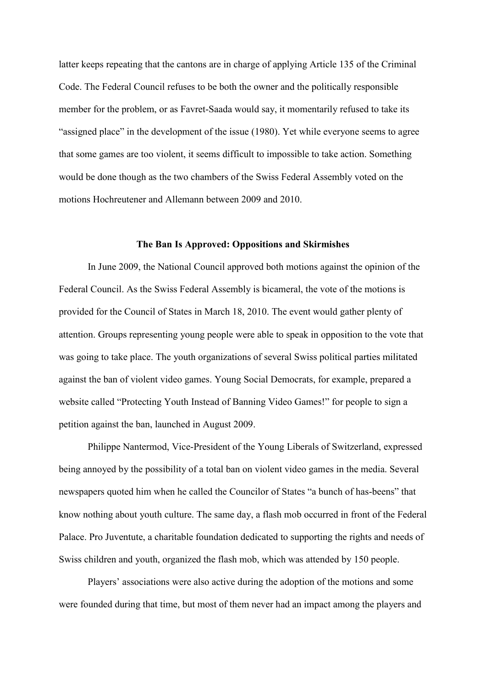latter keeps repeating that the cantons are in charge of applying Article 135 of the Criminal Code. The Federal Council refuses to be both the owner and the politically responsible member for the problem, or as Favret-Saada would say, it momentarily refused to take its "assigned place" in the development of the issue (1980). Yet while everyone seems to agree that some games are too violent, it seems difficult to impossible to take action. Something would be done though as the two chambers of the Swiss Federal Assembly voted on the motions Hochreutener and Allemann between 2009 and 2010.

## **The Ban Is Approved: Oppositions and Skirmishes**

In June 2009, the National Council approved both motions against the opinion of the Federal Council. As the Swiss Federal Assembly is bicameral, the vote of the motions is provided for the Council of States in March 18, 2010. The event would gather plenty of attention. Groups representing young people were able to speak in opposition to the vote that was going to take place. The youth organizations of several Swiss political parties militated against the ban of violent video games. Young Social Democrats, for example, prepared a website called "Protecting Youth Instead of Banning Video Games!" for people to sign a petition against the ban, launched in August 2009.

Philippe Nantermod, Vice-President of the Young Liberals of Switzerland, expressed being annoyed by the possibility of a total ban on violent video games in the media. Several newspapers quoted him when he called the Councilor of States "a bunch of has-beens" that know nothing about youth culture. The same day, a flash mob occurred in front of the Federal Palace. Pro Juventute, a charitable foundation dedicated to supporting the rights and needs of Swiss children and youth, organized the flash mob, which was attended by 150 people.

Players' associations were also active during the adoption of the motions and some were founded during that time, but most of them never had an impact among the players and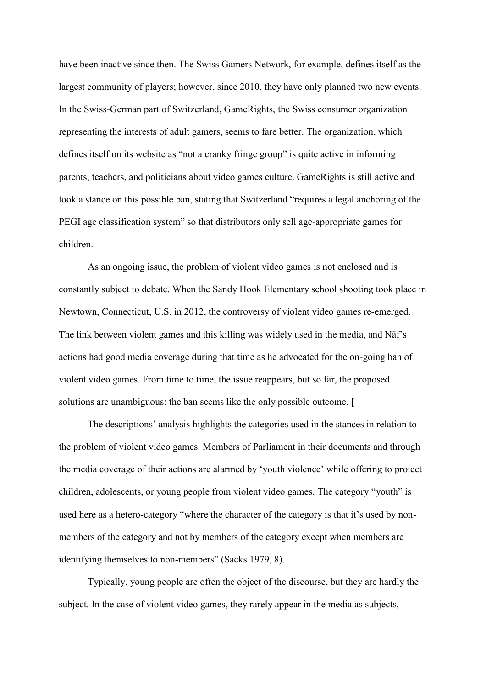have been inactive since then. The Swiss Gamers Network, for example, defines itself as the largest community of players; however, since 2010, they have only planned two new events. In the Swiss-German part of Switzerland, GameRights, the Swiss consumer organization representing the interests of adult gamers, seems to fare better. The organization, which defines itself on its website as "not a cranky fringe group" is quite active in informing parents, teachers, and politicians about video games culture. GameRights is still active and took a stance on this possible ban, stating that Switzerland "requires a legal anchoring of the PEGI age classification system" so that distributors only sell age-appropriate games for children.

As an ongoing issue, the problem of violent video games is not enclosed and is constantly subject to debate. When the Sandy Hook Elementary school shooting took place in Newtown, Connecticut, U.S. in 2012, the controversy of violent video games re-emerged. The link between violent games and this killing was widely used in the media, and Näf's actions had good media coverage during that time as he advocated for the on-going ban of violent video games. From time to time, the issue reappears, but so far, the proposed solutions are unambiguous: the ban seems like the only possible outcome. [

The descriptions' analysis highlights the categories used in the stances in relation to the problem of violent video games. Members of Parliament in their documents and through the media coverage of their actions are alarmed by 'youth violence' while offering to protect children, adolescents, or young people from violent video games. The category "youth" is used here as a hetero-category "where the character of the category is that it's used by nonmembers of the category and not by members of the category except when members are identifying themselves to non-members" (Sacks 1979, 8).

Typically, young people are often the object of the discourse, but they are hardly the subject. In the case of violent video games, they rarely appear in the media as subjects,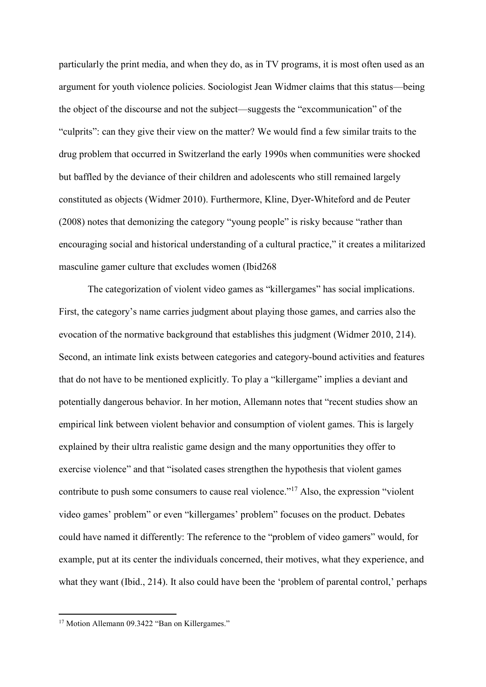particularly the print media, and when they do, as in TV programs, it is most often used as an argument for youth violence policies. Sociologist Jean Widmer claims that this status—being the object of the discourse and not the subject—suggests the "excommunication" of the "culprits": can they give their view on the matter? We would find a few similar traits to the drug problem that occurred in Switzerland the early 1990s when communities were shocked but baffled by the deviance of their children and adolescents who still remained largely constituted as objects (Widmer 2010). Furthermore, Kline, Dyer-Whiteford and de Peuter (2008) notes that demonizing the category "young people" is risky because "rather than encouraging social and historical understanding of a cultural practice," it creates a militarized masculine gamer culture that excludes women (Ibid268

The categorization of violent video games as "killergames" has social implications. First, the category's name carries judgment about playing those games, and carries also the evocation of the normative background that establishes this judgment (Widmer 2010, 214). Second, an intimate link exists between categories and category-bound activities and features that do not have to be mentioned explicitly. To play a "killergame" implies a deviant and potentially dangerous behavior. In her motion, Allemann notes that "recent studies show an empirical link between violent behavior and consumption of violent games. This is largely explained by their ultra realistic game design and the many opportunities they offer to exercise violence" and that "isolated cases strengthen the hypothesis that violent games contribute to push some consumers to cause real violence."<sup>17</sup> Also, the expression "violent" video games' problem" or even "killergames' problem" focuses on the product. Debates could have named it differently: The reference to the "problem of video gamers" would, for example, put at its center the individuals concerned, their motives, what they experience, and what they want (Ibid., 214). It also could have been the 'problem of parental control,' perhaps

<sup>&</sup>lt;sup>17</sup> Motion Allemann 09.3422 "Ban on Killergames."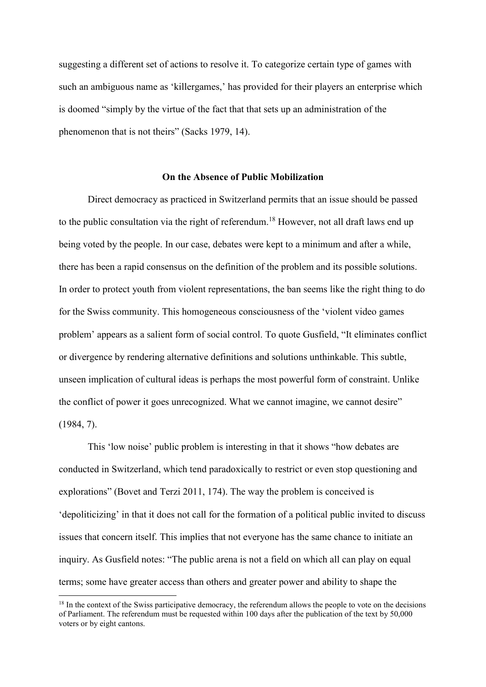suggesting a different set of actions to resolve it. To categorize certain type of games with such an ambiguous name as 'killergames,' has provided for their players an enterprise which is doomed "simply by the virtue of the fact that that sets up an administration of the phenomenon that is not theirs" (Sacks 1979, 14).

#### **On the Absence of Public Mobilization**

Direct democracy as practiced in Switzerland permits that an issue should be passed to the public consultation via the right of referendum.<sup>18</sup> However, not all draft laws end up being voted by the people. In our case, debates were kept to a minimum and after a while, there has been a rapid consensus on the definition of the problem and its possible solutions. In order to protect youth from violent representations, the ban seems like the right thing to do for the Swiss community. This homogeneous consciousness of the 'violent video games problem' appears as a salient form of social control. To quote Gusfield, "It eliminates conflict or divergence by rendering alternative definitions and solutions unthinkable. This subtle, unseen implication of cultural ideas is perhaps the most powerful form of constraint. Unlike the conflict of power it goes unrecognized. What we cannot imagine, we cannot desire" (1984, 7).

This 'low noise' public problem is interesting in that it shows "how debates are conducted in Switzerland, which tend paradoxically to restrict or even stop questioning and explorations" (Bovet and Terzi 2011, 174). The way the problem is conceived is 'depoliticizing' in that it does not call for the formation of a political public invited to discuss issues that concern itself. This implies that not everyone has the same chance to initiate an inquiry. As Gusfield notes: "The public arena is not a field on which all can play on equal terms; some have greater access than others and greater power and ability to shape the

<sup>&</sup>lt;sup>18</sup> In the context of the Swiss participative democracy, the referendum allows the people to vote on the decisions of Parliament. The referendum must be requested within 100 days after the publication of the text by 50,000 voters or by eight cantons.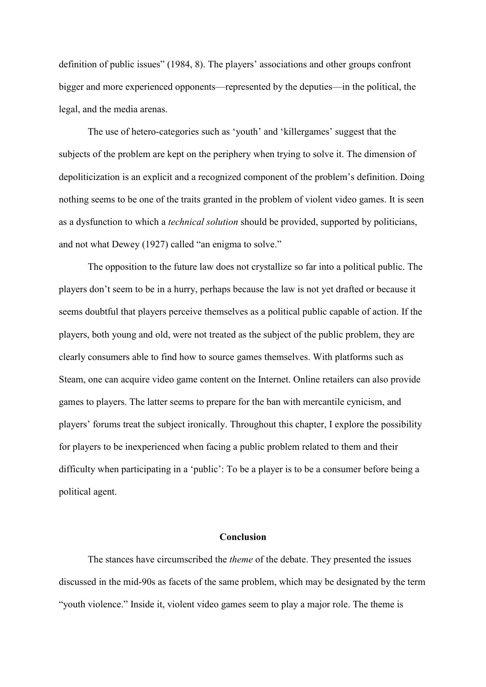definition of public issues" (1984, 8). The players' associations and other groups confront bigger and more experienced opponents—represented by the deputies—in the political, the legal, and the media arenas.

The use of hetero-categories such as 'youth' and 'killergames' suggest that the subjects of the problem are kept on the periphery when trying to solve it. The dimension of depoliticization is an explicit and a recognized component of the problem's definition. Doing nothing seems to be one of the traits granted in the problem of violent video games. It is seen as a dysfunction to which a *technical solution* should be provided, supported by politicians, and not what Dewey (1927) called "an enigma to solve."

The opposition to the future law does not crystallize so far into a political public. The players don't seem to be in a hurry, perhaps because the law is not yet drafted or because it seems doubtful that players perceive themselves as a political public capable of action. If the players, both young and old, were not treated as the subject of the public problem, they are clearly consumers able to find how to source games themselves. With platforms such as Steam, one can acquire video game content on the Internet. Online retailers can also provide games to players. The latter seems to prepare for the ban with mercantile cynicism, and players' forums treat the subject ironically. Throughout this chapter, I explore the possibility for players to be inexperienced when facing a public problem related to them and their difficulty when participating in a 'public': To be a player is to be a consumer before being a political agent.

## **Conclusion**

The stances have circumscribed the *theme* of the debate. They presented the issues discussed in the mid-90s as facets of the same problem, which may be designated by the term "youth violence." Inside it, violent video games seem to play a major role. The theme is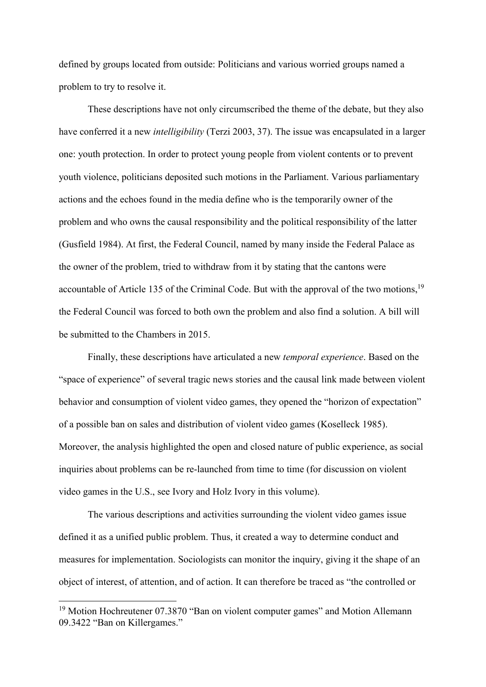defined by groups located from outside: Politicians and various worried groups named a problem to try to resolve it.

These descriptions have not only circumscribed the theme of the debate, but they also have conferred it a new *intelligibility* (Terzi 2003, 37). The issue was encapsulated in a larger one: youth protection. In order to protect young people from violent contents or to prevent youth violence, politicians deposited such motions in the Parliament. Various parliamentary actions and the echoes found in the media define who is the temporarily owner of the problem and who owns the causal responsibility and the political responsibility of the latter (Gusfield 1984). At first, the Federal Council, named by many inside the Federal Palace as the owner of the problem, tried to withdraw from it by stating that the cantons were accountable of Article 135 of the Criminal Code. But with the approval of the two motions,<sup>19</sup> the Federal Council was forced to both own the problem and also find a solution. A bill will be submitted to the Chambers in 2015.

Finally, these descriptions have articulated a new *temporal experience*. Based on the "space of experience" of several tragic news stories and the causal link made between violent behavior and consumption of violent video games, they opened the "horizon of expectation" of a possible ban on sales and distribution of violent video games (Koselleck 1985). Moreover, the analysis highlighted the open and closed nature of public experience, as social inquiries about problems can be re-launched from time to time (for discussion on violent video games in the U.S., see Ivory and Holz Ivory in this volume).

The various descriptions and activities surrounding the violent video games issue defined it as a unified public problem. Thus, it created a way to determine conduct and measures for implementation. Sociologists can monitor the inquiry, giving it the shape of an object of interest, of attention, and of action. It can therefore be traced as "the controlled or

<sup>&</sup>lt;sup>19</sup> Motion Hochreutener 07.3870 "Ban on violent computer games" and Motion Allemann 09.3422 "Ban on Killergames."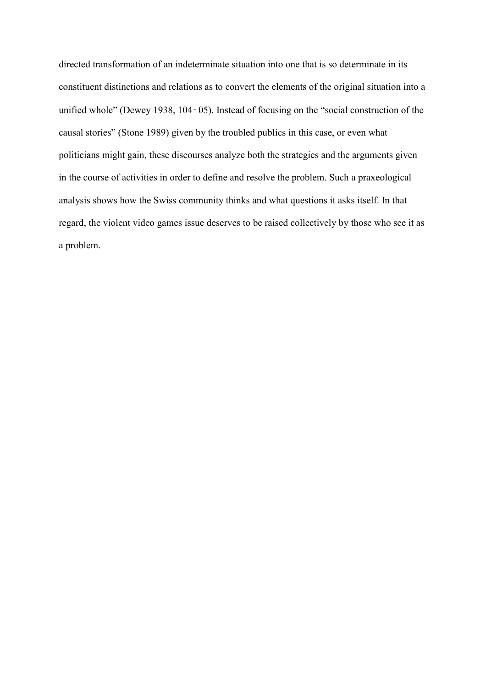directed transformation of an indeterminate situation into one that is so determinate in its constituent distinctions and relations as to convert the elements of the original situation into a unified whole" (Dewey 1938, 104‑05). Instead of focusing on the "social construction of the causal stories" (Stone 1989) given by the troubled publics in this case, or even what politicians might gain, these discourses analyze both the strategies and the arguments given in the course of activities in order to define and resolve the problem. Such a praxeological analysis shows how the Swiss community thinks and what questions it asks itself. In that regard, the violent video games issue deserves to be raised collectively by those who see it as a problem.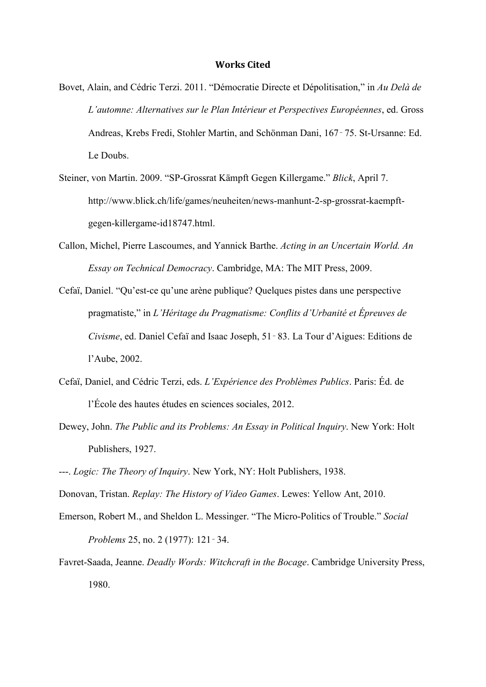#### **Works Cited**

- Bovet, Alain, and Cédric Terzi. 2011. "Démocratie Directe et Dépolitisation," in *Au Delà de L'automne: Alternatives sur le Plan Intérieur et Perspectives Européennes*, ed. Gross Andreas, Krebs Fredi, Stohler Martin, and Schönman Dani, 167‑75. St-Ursanne: Ed. Le Doubs.
- Steiner, von Martin. 2009. "SP-Grossrat Kämpft Gegen Killergame." *Blick*, April 7. http://www.blick.ch/life/games/neuheiten/news-manhunt-2-sp-grossrat-kaempftgegen-killergame-id18747.html.
- Callon, Michel, Pierre Lascoumes, and Yannick Barthe. *Acting in an Uncertain World. An Essay on Technical Democracy*. Cambridge, MA: The MIT Press, 2009.
- Cefaï, Daniel. "Qu'est-ce qu'une arène publique? Quelques pistes dans une perspective pragmatiste," in *L'Héritage du Pragmatisme: Conflits d'Urbanité et Épreuves de Civisme*, ed. Daniel Cefaï and Isaac Joseph, 51‑83. La Tour d'Aigues: Editions de l'Aube, 2002.
- Cefaï, Daniel, and Cédric Terzi, eds. *L'Expérience des Problèmes Publics*. Paris: Éd. de l'École des hautes études en sciences sociales, 2012.
- Dewey, John. *The Public and its Problems: An Essay in Political Inquiry*. New York: Holt Publishers, 1927.
- ---. *Logic: The Theory of Inquiry*. New York, NY: Holt Publishers, 1938.

Donovan, Tristan. *Replay: The History of Video Games*. Lewes: Yellow Ant, 2010.

- Emerson, Robert M., and Sheldon L. Messinger. "The Micro-Politics of Trouble." *Social Problems* 25, no. 2 (1977): 121‑34.
- Favret-Saada, Jeanne. *Deadly Words: Witchcraft in the Bocage*. Cambridge University Press, 1980.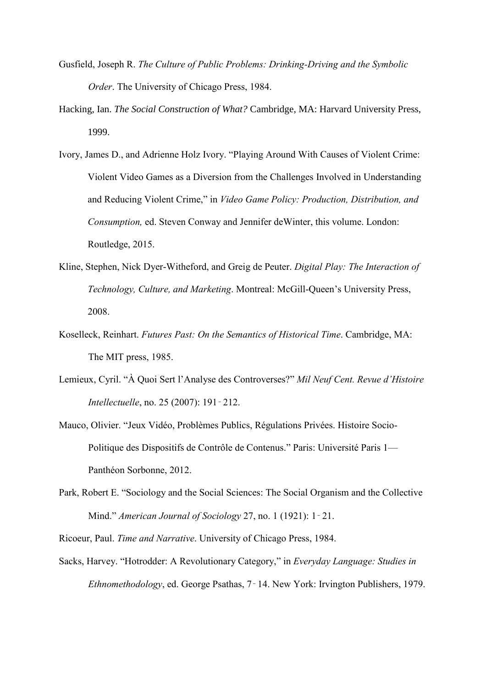- Gusfield, Joseph R. *The Culture of Public Problems: Drinking-Driving and the Symbolic Order*. The University of Chicago Press, 1984.
- Hacking, Ian. *The Social Construction of What?* Cambridge, MA: Harvard University Press, 1999.
- Ivory, James D., and Adrienne Holz Ivory. "Playing Around With Causes of Violent Crime: Violent Video Games as a Diversion from the Challenges Involved in Understanding and Reducing Violent Crime," in *Video Game Policy: Production, Distribution, and Consumption,* ed. Steven Conway and Jennifer deWinter, this volume. London: Routledge, 2015.
- Kline, Stephen, Nick Dyer-Witheford, and Greig de Peuter. *Digital Play: The Interaction of Technology, Culture, and Marketing*. Montreal: McGill-Queen's University Press, 2008.
- Koselleck, Reinhart. *Futures Past: On the Semantics of Historical Time*. Cambridge, MA: The MIT press, 1985.
- Lemieux, Cyril. "À Quoi Sert l'Analyse des Controverses?" *Mil Neuf Cent. Revue d'Histoire Intellectuelle*, no. 25 (2007): 191-212.
- Mauco, Olivier. "Jeux Vidéo, Problèmes Publics, Régulations Privées. Histoire Socio-Politique des Dispositifs de Contrôle de Contenus." Paris: Université Paris 1— Panthéon Sorbonne, 2012.
- Park, Robert E. "Sociology and the Social Sciences: The Social Organism and the Collective Mind." *American Journal of Sociology* 27, no. 1 (1921): 1‑21.
- Ricoeur, Paul. *Time and Narrative*. University of Chicago Press, 1984.
- Sacks, Harvey. "Hotrodder: A Revolutionary Category," in *Everyday Language: Studies in Ethnomethodology*, ed. George Psathas, 7‑14. New York: Irvington Publishers, 1979.